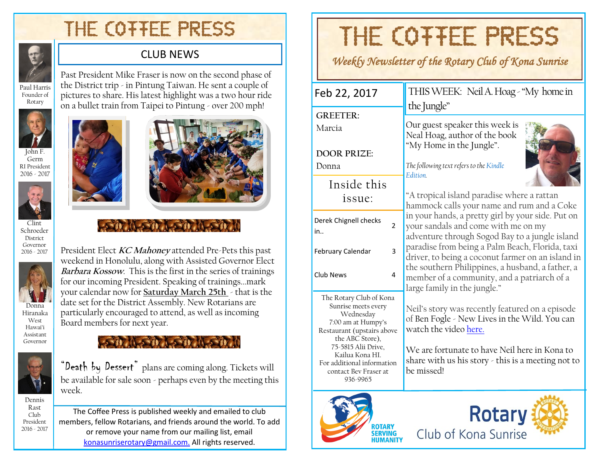## THE COTTEE PRESS



Founder of Rotary

#### CLUB NEWS

Past President Mike Fraser is now on the second phase of the District trip - in Pintung Taiwan. He sent a couple of pictures to share. His latest highlight was a two hour ride on a bullet train from Taipei to Pintung - over 200 mph!



John F. Germ RI President 2016 - 2017



Clint Schroeder District Governor 2016 - 2017



Hiranaka West Hawai'i Assistant Governor



Dennis Rast Club President 2016 - 2017 Board members for next year.  $2.31$  (1.54)  $1.31$  (1.54) "Death by Dessert" plans are coming along. Tickets will

President Elect **KC Mahoney** attended Pre-Pets this past weekend in Honolulu, along with Assisted Governor Elect **Barbara Kossow**. This is the first in the series of trainings for our incoming President. Speaking of trainings...mark your calendar now for **Saturday March 25th** - that is the date set for the District Assembly. New Rotarians are particularly encouraged to attend, as well as incoming

be available for sale soon - perhaps even by the meeting this week.

The Coffee Press is published weekly and emailed to club members, fellow Rotarians, and friends around the world. To add or remove your name from our mailing list, email [konasunriserotary@gmail.com.](mailto:konasunriserotary@gmail.com.) All rights reserved.

# THE COTTEE PRESS

*Weekly Newsletter of the Rotary Club of Kona Sunrise* 

| Feb 22, 2017                                                                                                                                                                                                                                    | THIS WEEK: Neil A. Hoag - "My home in<br>the Jungle"                                                                                                                                                                                           |  |  |  |  |
|-------------------------------------------------------------------------------------------------------------------------------------------------------------------------------------------------------------------------------------------------|------------------------------------------------------------------------------------------------------------------------------------------------------------------------------------------------------------------------------------------------|--|--|--|--|
| <b>GREETER:</b><br>Marcia                                                                                                                                                                                                                       | Our guest speaker this week is<br>Neal Hoag, author of the book                                                                                                                                                                                |  |  |  |  |
| <b>DOOR PRIZE:</b><br>Donna                                                                                                                                                                                                                     | "My Home in the Jungle".<br>The following text refers to the Kindle<br><b>Fdition</b>                                                                                                                                                          |  |  |  |  |
| Inside this<br>issue:                                                                                                                                                                                                                           | "A tropical island paradise where a rattan<br>hammock calls your name and rum and a Coke<br>in your hands, a pretty girl by your side. Put on<br>your sandals and come with me on my<br>adventure through Sogod Bay to a jungle island         |  |  |  |  |
| Derek Chignell checks<br>$\overline{2}$<br>in                                                                                                                                                                                                   |                                                                                                                                                                                                                                                |  |  |  |  |
| 3<br>February Calendar<br>Club News<br>4                                                                                                                                                                                                        | paradise from being a Palm Beach, Florida, taxi<br>driver, to being a coconut farmer on an island in<br>the southern Philippines, a husband, a father, a<br>member of a community, and a patriarch of a<br>large family in the jungle."        |  |  |  |  |
| The Rotary Club of Kona<br>Sunrise meets every<br>Wednesday<br>7:00 am at Humpy's<br>Restaurant (upstairs above<br>the ABC Store),<br>75-5815 Alii Drive,<br>Kailua Kona HI.<br>For additional information<br>contact Bev Fraser at<br>936-9965 | Neil's story was recently featured on a episode<br>of Ben Fogle - New Lives in the Wild. You can<br>watch the video here.<br>We are fortunate to have Neil here in Kona to<br>share with us his story - this is a meeting not to<br>be missed! |  |  |  |  |